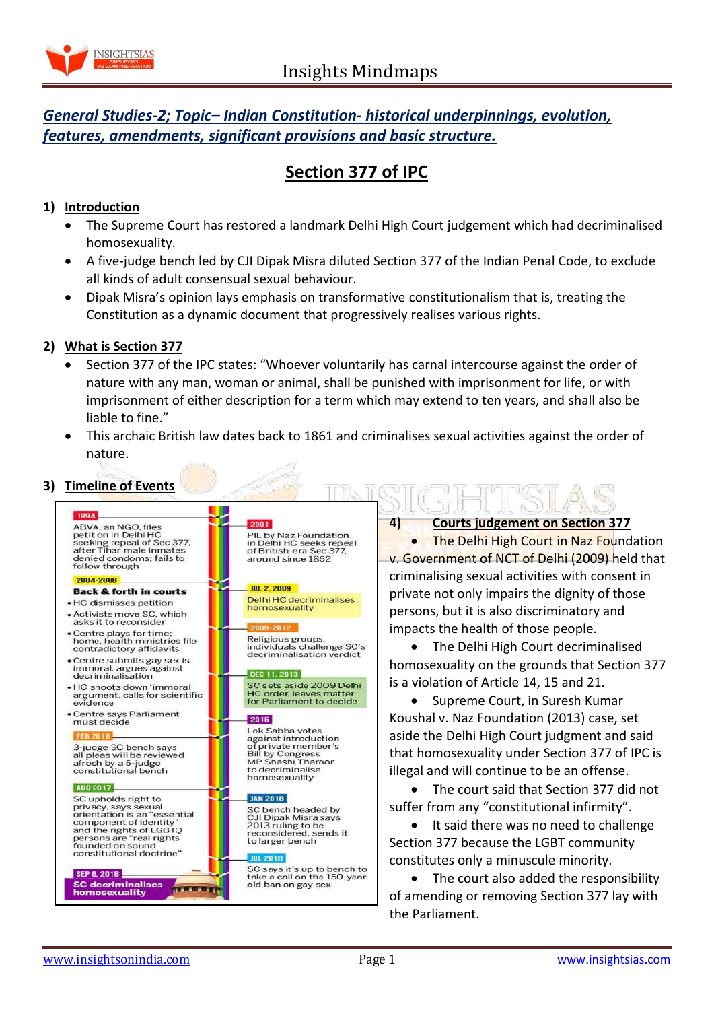

## *General Studies-2; Topic– Indian Constitution- historical underpinnings, evolution, features, amendments, significant provisions and basic structure.*

## **Section 377 of IPC**

## **1) Introduction**

- The Supreme Court has restored a landmark Delhi High Court judgement which had decriminalised homosexuality.
- A five-judge bench led by CJI Dipak Misra diluted Section 377 of the Indian Penal Code, to exclude all kinds of adult consensual sexual behaviour.
- Dipak Misra's opinion lays emphasis on transformative constitutionalism that is, treating the Constitution as a dynamic document that progressively realises various rights.

## **2) What is Section 377**

- Section 377 of the IPC states: "Whoever voluntarily has carnal intercourse against the order of nature with any man, woman or animal, shall be punished with imprisonment for life, or with imprisonment of either description for a term which may extend to ten years, and shall also be liable to fine."
- This archaic British law dates back to 1861 and criminalises sexual activities against the order of nature.

# **3) Timeline of Events**

| 1994                                                                                                                                                                                                         |                                                                                                                                                             |
|--------------------------------------------------------------------------------------------------------------------------------------------------------------------------------------------------------------|-------------------------------------------------------------------------------------------------------------------------------------------------------------|
| ABVA, an NGO, files<br>petition in Delhi HC<br>seeking repeal of Sec 377.<br>after Tihar male inmates<br>denied condoms: fails to<br>follow through                                                          | 2001<br>PIL by Naz Foundation<br>in Delhi HC seeks repeal<br>of British-era Sec 377.<br>around since 1862                                                   |
| 2004-2008                                                                                                                                                                                                    |                                                                                                                                                             |
| <b>Back &amp; forth in courts</b>                                                                                                                                                                            | <b>JUL 2, 2009</b>                                                                                                                                          |
| • HC dismisses petition                                                                                                                                                                                      | Delhi HC decriminalises<br>homosexuality                                                                                                                    |
| • Activists move SC, which<br>asks it to reconsider                                                                                                                                                          | 2009-2012                                                                                                                                                   |
| • Centre plays for time:<br>home, health ministries file<br>contradictory affidavits                                                                                                                         | Religious groups.<br>individuals challenge SC's<br>decriminalisation verdict                                                                                |
| • Centre submits gay sex is<br>immoral, argues against<br>decriminalisation                                                                                                                                  | DEC 11, 2013                                                                                                                                                |
| • HC shoots down 'immoral'<br>argument, calls for scientific<br>evidence                                                                                                                                     | SC sets aside 2009 Delhi<br><b>HC order, leaves matter</b><br>for Parliament to decide                                                                      |
| • Centre says Parliament<br>must decide<br><b>FEB 2018</b>                                                                                                                                                   | 2015<br>Lok Sabha votes<br>against introduction<br>of private member's<br><b>Bill by Congress</b><br>MP Shashi Tharoor<br>to decriminalise<br>homosexuality |
| 3-judge SC bench says<br>all pleas will be reviewed<br>afresh by a 5-judge<br>constitutional bench                                                                                                           |                                                                                                                                                             |
| <b>AUG 2017</b>                                                                                                                                                                                              |                                                                                                                                                             |
| SC upholds right to<br>privacy, says sexual<br>orientation is an "essential<br>component of identity"<br>and the rights of LGBTO<br>persons are "real rights<br>founded on sound<br>constitutional doctrine" | <b>JAN 2018</b><br>SC bench headed by<br>CJI Dipak Misra says<br>2013 ruling to be<br>reconsidered, sends it<br>to larger bench<br><b>JUL 2018</b>          |
| <b>SEP 6, 2018</b><br><b>SC decriminalises</b><br>homosexuality                                                                                                                                              | SC says it's up to bench to<br>take a call on the 150-year-<br>old ban on gay sex                                                                           |

#### **4) Courts judgement on Section 377**

• The Delhi High Court in Naz Foundation v. Government of NCT of Delhi (2009) held that criminalising sexual activities with consent in private not only impairs the dignity of those persons, but it is also discriminatory and impacts the health of those people.

• The Delhi High Court decriminalised homosexuality on the grounds that Section 377 is a violation of Article 14, 15 and 21.

• Supreme Court, in Suresh Kumar Koushal v. Naz Foundation (2013) case, set aside the Delhi High Court judgment and said that homosexuality under Section 377 of IPC is illegal and will continue to be an offense.

 The court said that Section 377 did not suffer from any "constitutional infirmity".

• It said there was no need to challenge Section 377 because the LGBT community constitutes only a minuscule minority.

• The court also added the responsibility of amending or removing Section 377 lay with the Parliament.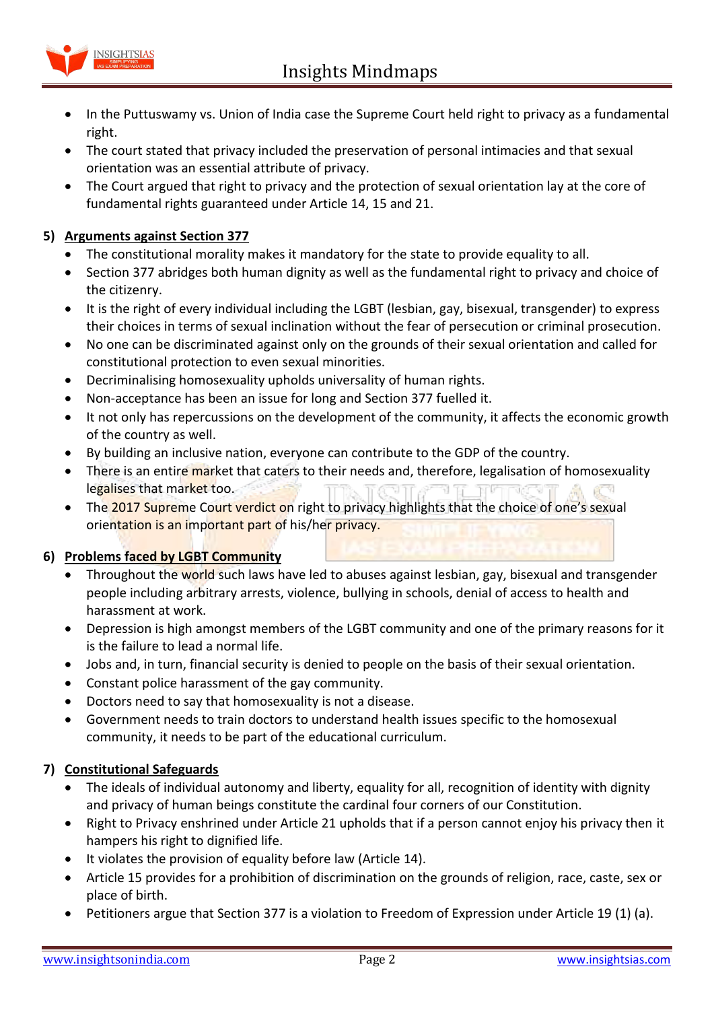

- In the Puttuswamy vs. Union of India case the Supreme Court held right to privacy as a fundamental right.
- The court stated that privacy included the preservation of personal intimacies and that sexual orientation was an essential attribute of privacy.
- The Court argued that right to privacy and the protection of sexual orientation lay at the core of fundamental rights guaranteed under Article 14, 15 and 21.

## **5) Arguments against Section 377**

- The constitutional morality makes it mandatory for the state to provide equality to all.
- Section 377 abridges both human dignity as well as the fundamental right to privacy and choice of the citizenry.
- It is the right of every individual including the LGBT (lesbian, gay, bisexual, transgender) to express their choices in terms of sexual inclination without the fear of persecution or criminal prosecution.
- No one can be discriminated against only on the grounds of their sexual orientation and called for constitutional protection to even sexual minorities.
- Decriminalising homosexuality upholds universality of human rights.
- Non-acceptance has been an issue for long and Section 377 fuelled it.
- It not only has repercussions on the development of the community, it affects the economic growth of the country as well.
- By building an inclusive nation, everyone can contribute to the GDP of the country.
- There is an entire market that caters to their needs and, therefore, legalisation of homosexuality legalises that market too.
- The 2017 Supreme Court verdict on right to privacy highlights that the choice of one's sexual orientation is an important part of his/her privacy.

## **6) Problems faced by LGBT Community**

- Throughout the world such laws have led to abuses against lesbian, gay, bisexual and transgender people including arbitrary arrests, violence, bullying in schools, denial of access to health and harassment at work.
- Depression is high amongst members of the LGBT community and one of the primary reasons for it is the failure to lead a normal life.
- Jobs and, in turn, financial security is denied to people on the basis of their sexual orientation.
- Constant police harassment of the gay community.
- Doctors need to say that homosexuality is not a disease.
- Government needs to train doctors to understand health issues specific to the homosexual community, it needs to be part of the educational curriculum.

## **7) Constitutional Safeguards**

- The ideals of individual autonomy and liberty, equality for all, recognition of identity with dignity and privacy of human beings constitute the cardinal four corners of our Constitution.
- Right to Privacy enshrined under Article 21 upholds that if a person cannot enjoy his privacy then it hampers his right to dignified life.
- It violates the provision of equality before law (Article 14).
- Article 15 provides for a prohibition of discrimination on the grounds of religion, race, caste, sex or place of birth.
- Petitioners argue that Section 377 is a violation to Freedom of Expression under Article 19 (1) (a).